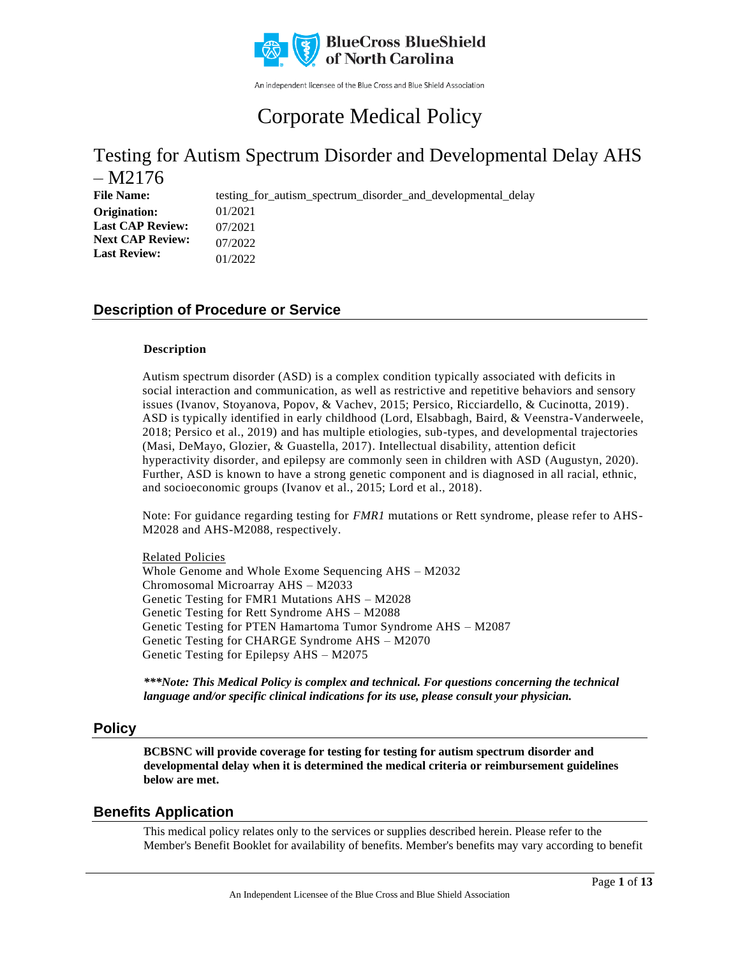

An independent licensee of the Blue Cross and Blue Shield Association

# Corporate Medical Policy

### Testing for Autism Spectrum Disorder and Developmental Delay AHS – M2176

File Name: testing\_for\_autism\_spectrum\_disorder\_and\_developmental\_delay 01/2021 07/2021 07/2022 01/2022 **Origination: Last CAP Review: Next CAP Review: Last Review:**

### **Description of Procedure or Service**

#### **Description**

Autism spectrum disorder (ASD) is a complex condition typically associated with deficits in social interaction and communication, as well as restrictive and repetitive behaviors and sensory issues (Ivanov, Stoyanova, Popov, & Vachev, 2015; Persico, Ricciardello, & Cucinotta, 2019). ASD is typically identified in early childhood (Lord, Elsabbagh, Baird, & Veenstra-Vanderweele, 2018; Persico et al., 2019) and has multiple etiologies, sub-types, and developmental trajectories (Masi, DeMayo, Glozier, & Guastella, 2017). Intellectual disability, attention deficit hyperactivity disorder, and epilepsy are commonly seen in children with ASD (Augustyn, 2020). Further, ASD is known to have a strong genetic component and is diagnosed in all racial, ethnic, and socioeconomic groups (Ivanov et al., 2015; Lord et al., 2018).

Note: For guidance regarding testing for *FMR1* mutations or Rett syndrome, please refer to AHS-M2028 and AHS-M2088, respectively.

Related Policies Whole Genome and Whole Exome Sequencing AHS – M2032 Chromosomal Microarray AHS – M2033 Genetic Testing for FMR1 Mutations AHS – M2028 Genetic Testing for Rett Syndrome AHS – M2088 Genetic Testing for PTEN Hamartoma Tumor Syndrome AHS – M2087 Genetic Testing for CHARGE Syndrome AHS – M2070 Genetic Testing for Epilepsy AHS – M2075

*\*\*\*Note: This Medical Policy is complex and technical. For questions concerning the technical language and/or specific clinical indications for its use, please consult your physician.*

### **Policy**

**BCBSNC will provide coverage for testing for testing for autism spectrum disorder and developmental delay when it is determined the medical criteria or reimbursement guidelines below are met.**

### **Benefits Application**

This medical policy relates only to the services or supplies described herein. Please refer to the Member's Benefit Booklet for availability of benefits. Member's benefits may vary according to benefit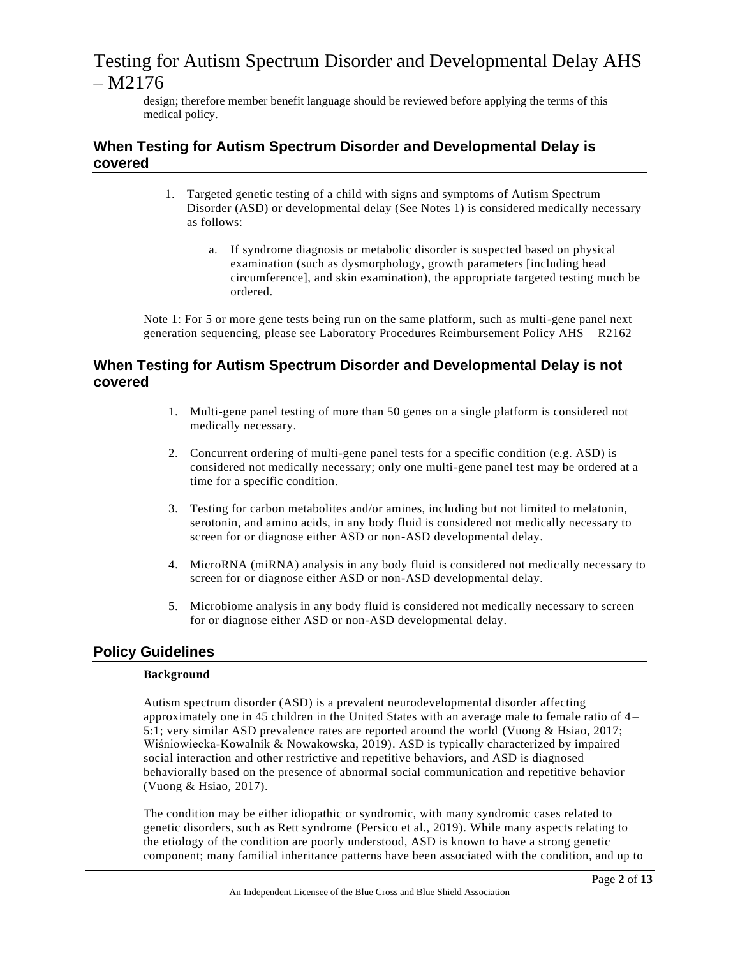design; therefore member benefit language should be reviewed before applying the terms of this medical policy.

### **When Testing for Autism Spectrum Disorder and Developmental Delay is covered**

- 1. Targeted genetic testing of a child with signs and symptoms of Autism Spectrum Disorder (ASD) or developmental delay (See Notes 1) is considered medically necessary as follows:
	- a. If syndrome diagnosis or metabolic disorder is suspected based on physical examination (such as dysmorphology, growth parameters [including head circumference], and skin examination), the appropriate targeted testing much be ordered.

Note 1: For 5 or more gene tests being run on the same platform, such as multi-gene panel next generation sequencing, please see Laboratory Procedures Reimbursement Policy AHS – R2162

### **When Testing for Autism Spectrum Disorder and Developmental Delay is not covered**

- 1. Multi-gene panel testing of more than 50 genes on a single platform is considered not medically necessary.
- 2. Concurrent ordering of multi-gene panel tests for a specific condition (e.g. ASD) is considered not medically necessary; only one multi-gene panel test may be ordered at a time for a specific condition.
- 3. Testing for carbon metabolites and/or amines, including but not limited to melatonin, serotonin, and amino acids, in any body fluid is considered not medically necessary to screen for or diagnose either ASD or non-ASD developmental delay.
- 4. MicroRNA (miRNA) analysis in any body fluid is considered not medically necessary to screen for or diagnose either ASD or non-ASD developmental delay.
- 5. Microbiome analysis in any body fluid is considered not medically necessary to screen for or diagnose either ASD or non-ASD developmental delay.

### **Policy Guidelines**

### **Background**

Autism spectrum disorder (ASD) is a prevalent neurodevelopmental disorder affecting approximately one in 45 children in the United States with an average male to female ratio of  $4-$ 5:1; very similar ASD prevalence rates are reported around the world (Vuong & Hsiao, 2017; Wiśniowiecka-Kowalnik & Nowakowska, 2019). ASD is typically characterized by impaired social interaction and other restrictive and repetitive behaviors, and ASD is diagnosed behaviorally based on the presence of abnormal social communication and repetitive behavior (Vuong & Hsiao, 2017).

The condition may be either idiopathic or syndromic, with many syndromic cases related to genetic disorders, such as Rett syndrome (Persico et al., 2019). While many aspects relating to the etiology of the condition are poorly understood, ASD is known to have a strong genetic component; many familial inheritance patterns have been associated with the condition, and up to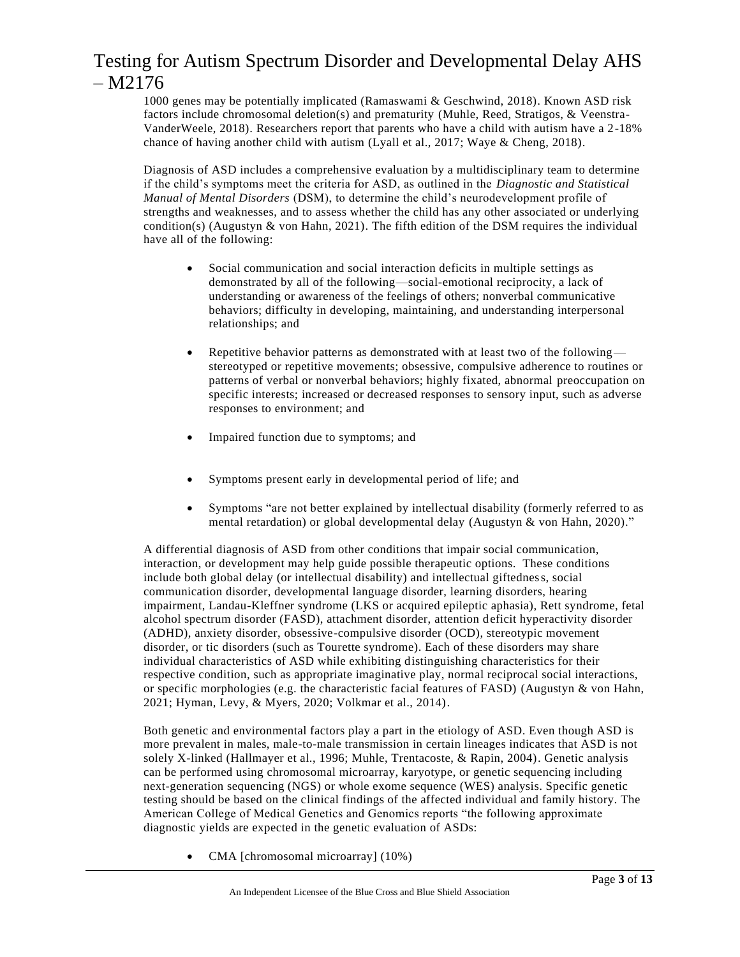1000 genes may be potentially implicated (Ramaswami & Geschwind, 2018). Known ASD risk factors include chromosomal deletion(s) and prematurity (Muhle, Reed, Stratigos, & Veenstra-VanderWeele, 2018). Researchers report that parents who have a child with autism have a 2-18% chance of having another child with autism (Lyall et al., 2017; Waye & Cheng, 2018).

Diagnosis of ASD includes a comprehensive evaluation by a multidisciplinary team to determine if the child's symptoms meet the criteria for ASD, as outlined in the *Diagnostic and Statistical Manual of Mental Disorders* (DSM), to determine the child's neurodevelopment profile of strengths and weaknesses, and to assess whether the child has any other associated or underlying condition(s) (Augustyn & von Hahn, 2021). The fifth edition of the DSM requires the individual have all of the following:

- Social communication and social interaction deficits in multiple settings as demonstrated by all of the following—social-emotional reciprocity, a lack of understanding or awareness of the feelings of others; nonverbal communicative behaviors; difficulty in developing, maintaining, and understanding interpersonal relationships; and
- Repetitive behavior patterns as demonstrated with at least two of the following stereotyped or repetitive movements; obsessive, compulsive adherence to routines or patterns of verbal or nonverbal behaviors; highly fixated, abnormal preoccupation on specific interests; increased or decreased responses to sensory input, such as adverse responses to environment; and
- Impaired function due to symptoms; and
- Symptoms present early in developmental period of life; and
- Symptoms "are not better explained by intellectual disability (formerly referred to as mental retardation) or global developmental delay (Augustyn & von Hahn, 2020)."

A differential diagnosis of ASD from other conditions that impair social communication, interaction, or development may help guide possible therapeutic options. These conditions include both global delay (or intellectual disability) and intellectual giftedness, social communication disorder, developmental language disorder, learning disorders, hearing impairment, Landau-Kleffner syndrome (LKS or acquired epileptic aphasia), Rett syndrome, fetal alcohol spectrum disorder (FASD), attachment disorder, attention deficit hyperactivity disorder (ADHD), anxiety disorder, obsessive-compulsive disorder (OCD), stereotypic movement disorder, or tic disorders (such as Tourette syndrome). Each of these disorders may share individual characteristics of ASD while exhibiting distinguishing characteristics for their respective condition, such as appropriate imaginative play, normal reciprocal social interactions, or specific morphologies (e.g. the characteristic facial features of FASD) (Augustyn & von Hahn, 2021; Hyman, Levy, & Myers, 2020; Volkmar et al., 2014).

Both genetic and environmental factors play a part in the etiology of ASD. Even though ASD is more prevalent in males, male-to-male transmission in certain lineages indicates that ASD is not solely X-linked (Hallmayer et al., 1996; Muhle, Trentacoste, & Rapin, 2004). Genetic analysis can be performed using chromosomal microarray, karyotype, or genetic sequencing including next-generation sequencing (NGS) or whole exome sequence (WES) analysis. Specific genetic testing should be based on the clinical findings of the affected individual and family history. The American College of Medical Genetics and Genomics reports "the following approximate diagnostic yields are expected in the genetic evaluation of ASDs:

• CMA [chromosomal microarray] (10%)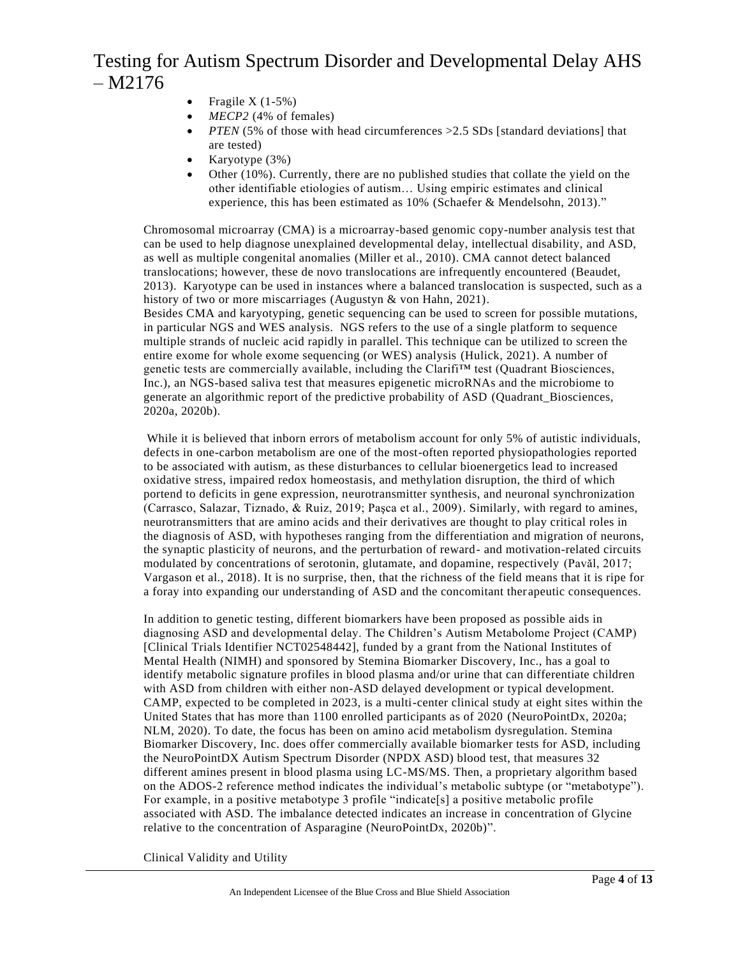- Fragile  $X(1-5%)$
- *MECP2* (4% of females)
- *PTEN* (5% of those with head circumferences > 2.5 SDs [standard deviations] that are tested)
- Karyotype (3%)
- Other (10%). Currently, there are no published studies that collate the yield on the other identifiable etiologies of autism… Using empiric estimates and clinical experience, this has been estimated as 10% (Schaefer & Mendelsohn, 2013)."

Chromosomal microarray (CMA) is a microarray-based genomic copy-number analysis test that can be used to help diagnose unexplained developmental delay, intellectual disability, and ASD, as well as multiple congenital anomalies (Miller et al., 2010). CMA cannot detect balanced translocations; however, these de novo translocations are infrequently encountered (Beaudet, 2013). Karyotype can be used in instances where a balanced translocation is suspected, such as a history of two or more miscarriages (Augustyn & von Hahn, 2021).

Besides CMA and karyotyping, genetic sequencing can be used to screen for possible mutations, in particular NGS and WES analysis. NGS refers to the use of a single platform to sequence multiple strands of nucleic acid rapidly in parallel. This technique can be utilized to screen the entire exome for whole exome sequencing (or WES) analysis (Hulick, 2021). A number of genetic tests are commercially available, including the Clarifi™ test (Quadrant Biosciences, Inc.), an NGS-based saliva test that measures epigenetic microRNAs and the microbiome to generate an algorithmic report of the predictive probability of ASD (Quadrant\_Biosciences, 2020a, 2020b).

While it is believed that inborn errors of metabolism account for only 5% of autistic individuals, defects in one-carbon metabolism are one of the most-often reported physiopathologies reported to be associated with autism, as these disturbances to cellular bioenergetics lead to increased oxidative stress, impaired redox homeostasis, and methylation disruption, the third of which portend to deficits in gene expression, neurotransmitter synthesis, and neuronal synchronization (Carrasco, Salazar, Tiznado, & Ruiz, 2019; Paşca et al., 2009). Similarly, with regard to amines, neurotransmitters that are amino acids and their derivatives are thought to play critical roles in the diagnosis of ASD, with hypotheses ranging from the differentiation and migration of neurons, the synaptic plasticity of neurons, and the perturbation of reward- and motivation-related circuits modulated by concentrations of serotonin, glutamate, and dopamine, respectively (Pavăl, 2017; Vargason et al., 2018). It is no surprise, then, that the richness of the field means that it is ripe for a foray into expanding our understanding of ASD and the concomitant ther apeutic consequences.

In addition to genetic testing, different biomarkers have been proposed as possible aids in diagnosing ASD and developmental delay. The Children's Autism Metabolome Project (CAMP) [Clinical Trials Identifier NCT02548442], funded by a grant from the National Institutes of Mental Health (NIMH) and sponsored by Stemina Biomarker Discovery, Inc., has a goal to identify metabolic signature profiles in blood plasma and/or urine that can differentiate children with ASD from children with either non-ASD delayed development or typical development. CAMP, expected to be completed in 2023, is a multi-center clinical study at eight sites within the United States that has more than 1100 enrolled participants as of 2020 (NeuroPointDx, 2020a; NLM, 2020). To date, the focus has been on amino acid metabolism dysregulation. Stemina Biomarker Discovery, Inc. does offer commercially available biomarker tests for ASD, including the NeuroPointDX Autism Spectrum Disorder (NPDX ASD) blood test, that measures 32 different amines present in blood plasma using LC-MS/MS. Then, a proprietary algorithm based on the ADOS-2 reference method indicates the individual's metabolic subtype (or "metabotype"). For example, in a positive metabotype 3 profile "indicate<sup>[5]</sup> a positive metabolic profile associated with ASD. The imbalance detected indicates an increase in concentration of Glycine relative to the concentration of Asparagine (NeuroPointDx, 2020b)".

Clinical Validity and Utility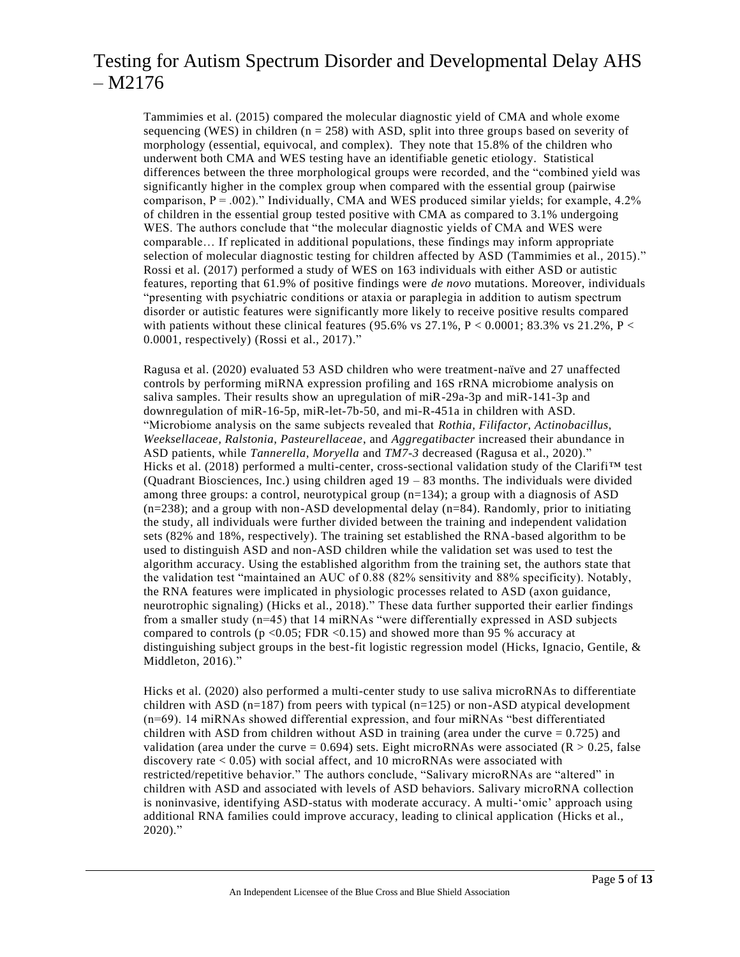Tammimies et al. (2015) compared the molecular diagnostic yield of CMA and whole exome sequencing (WES) in children ( $n = 258$ ) with ASD, split into three groups based on severity of morphology (essential, equivocal, and complex). They note that 15.8% of the children who underwent both CMA and WES testing have an identifiable genetic etiology. Statistical differences between the three morphological groups were recorded, and the "combined yield was significantly higher in the complex group when compared with the essential group (pairwise comparison,  $P = .002$ )." Individually, CMA and WES produced similar yields; for example, 4.2% of children in the essential group tested positive with CMA as compared to 3.1% undergoing WES. The authors conclude that "the molecular diagnostic yields of CMA and WES were comparable… If replicated in additional populations, these findings may inform appropriate selection of molecular diagnostic testing for children affected by ASD (Tammimies et al., 2015)." Rossi et al. (2017) performed a study of WES on 163 individuals with either ASD or autistic features, reporting that 61.9% of positive findings were *de novo* mutations. Moreover, individuals "presenting with psychiatric conditions or ataxia or paraplegia in addition to autism spectrum disorder or autistic features were significantly more likely to receive positive results compared with patients without these clinical features (95.6% vs 27.1%,  $P < 0.0001$ ; 83.3% vs 21.2%,  $P <$ 0.0001, respectively) (Rossi et al., 2017)."

Ragusa et al. (2020) evaluated 53 ASD children who were treatment-naïve and 27 unaffected controls by performing miRNA expression profiling and 16S rRNA microbiome analysis on saliva samples. Their results show an upregulation of miR-29a-3p and miR-141-3p and downregulation of miR-16-5p, miR-let-7b-50, and mi-R-451a in children with ASD. "Microbiome analysis on the same subjects revealed that *Rothia, Filifactor, Actinobacillus, Weeksellaceae, Ralstonia, Pasteurellaceae*, and *Aggregatibacter* increased their abundance in ASD patients, while *Tannerella, Moryella* and *TM7-3* decreased (Ragusa et al., 2020)." Hicks et al. (2018) performed a multi-center, cross-sectional validation study of the Clarifi™ test (Quadrant Biosciences, Inc.) using children aged  $19 - 83$  months. The individuals were divided among three groups: a control, neurotypical group  $(n=134)$ ; a group with a diagnosis of ASD  $(n=238)$ ; and a group with non-ASD developmental delay  $(n=84)$ . Randomly, prior to initiating the study, all individuals were further divided between the training and independent validation sets (82% and 18%, respectively). The training set established the RNA-based algorithm to be used to distinguish ASD and non-ASD children while the validation set was used to test the algorithm accuracy. Using the established algorithm from the training set, the authors state that the validation test "maintained an AUC of 0.88 (82% sensitivity and 88% specificity). Notably, the RNA features were implicated in physiologic processes related to ASD (axon guidance, neurotrophic signaling) (Hicks et al., 2018)." These data further supported their earlier findings from a smaller study (n=45) that 14 miRNAs "were differentially expressed in ASD subjects compared to controls ( $p \le 0.05$ ; FDR  $\le 0.15$ ) and showed more than 95 % accuracy at distinguishing subject groups in the best-fit logistic regression model (Hicks, Ignacio, Gentile, & Middleton, 2016)."

Hicks et al. (2020) also performed a multi-center study to use saliva microRNAs to differentiate children with ASD ( $n=187$ ) from peers with typical ( $n=125$ ) or non-ASD atypical development (n=69). 14 miRNAs showed differential expression, and four miRNAs "best differentiated children with ASD from children without ASD in training (area under the curve  $= 0.725$ ) and validation (area under the curve =  $0.694$ ) sets. Eight microRNAs were associated (R  $> 0.25$ , false discovery rate  $< 0.05$ ) with social affect, and 10 microRNAs were associated with restricted/repetitive behavior." The authors conclude, "Salivary microRNAs are "altered" in children with ASD and associated with levels of ASD behaviors. Salivary microRNA collection is noninvasive, identifying ASD-status with moderate accuracy. A multi-'omic' approach using additional RNA families could improve accuracy, leading to clinical application (Hicks et al., 2020)."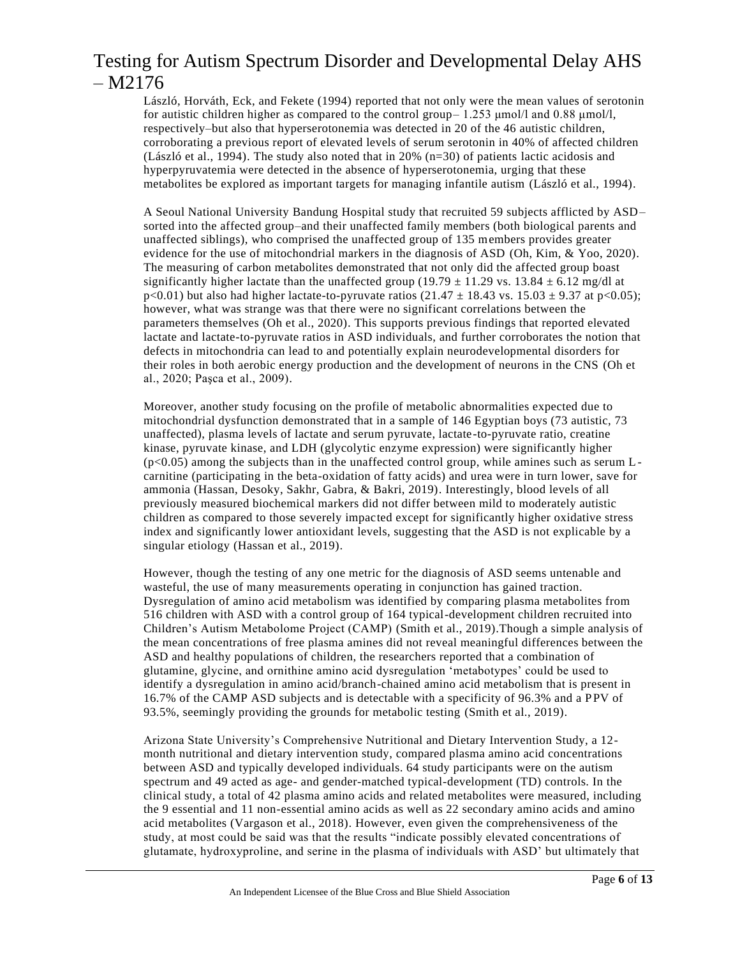László, Horváth, Eck, and Fekete (1994) reported that not only were the mean values of serotonin for autistic children higher as compared to the control group– 1.253 μmol/l and 0.88 μmol/l, respectively–but also that hyperserotonemia was detected in 20 of the 46 autistic children, corroborating a previous report of elevated levels of serum serotonin in 40% of affected children (László et al., 1994). The study also noted that in 20% (n=30) of patients lactic acidosis and hyperpyruvatemia were detected in the absence of hyperserotonemia, urging that these metabolites be explored as important targets for managing infantile autism (László et al., 1994).

A Seoul National University Bandung Hospital study that recruited 59 subjects afflicted by ASD– sorted into the affected group–and their unaffected family members (both biological parents and unaffected siblings), who comprised the unaffected group of 135 members provides greater evidence for the use of mitochondrial markers in the diagnosis of ASD (Oh, Kim, & Yoo, 2020). The measuring of carbon metabolites demonstrated that not only did the affected group boast significantly higher lactate than the unaffected group (19.79  $\pm$  11.29 vs. 13.84  $\pm$  6.12 mg/dl at  $p<0.01$ ) but also had higher lactate-to-pyruvate ratios (21.47  $\pm$  18.43 vs. 15.03  $\pm$  9.37 at p<0.05); however, what was strange was that there were no significant correlations between the parameters themselves (Oh et al., 2020). This supports previous findings that reported elevated lactate and lactate-to-pyruvate ratios in ASD individuals, and further corroborates the notion that defects in mitochondria can lead to and potentially explain neurodevelopmental disorders for their roles in both aerobic energy production and the development of neurons in the CNS (Oh et al., 2020; Paşca et al., 2009).

Moreover, another study focusing on the profile of metabolic abnormalities expected due to mitochondrial dysfunction demonstrated that in a sample of 146 Egyptian boys (73 autistic, 73 unaffected), plasma levels of lactate and serum pyruvate, lactate-to-pyruvate ratio, creatine kinase, pyruvate kinase, and LDH (glycolytic enzyme expression) were significantly higher  $(p<0.05)$  among the subjects than in the unaffected control group, while amines such as serum Lcarnitine (participating in the beta-oxidation of fatty acids) and urea were in turn lower, save for ammonia (Hassan, Desoky, Sakhr, Gabra, & Bakri, 2019). Interestingly, blood levels of all previously measured biochemical markers did not differ between mild to moderately autistic children as compared to those severely impacted except for significantly higher oxidative stress index and significantly lower antioxidant levels, suggesting that the ASD is not explicable by a singular etiology (Hassan et al., 2019).

However, though the testing of any one metric for the diagnosis of ASD seems untenable and wasteful, the use of many measurements operating in conjunction has gained traction. Dysregulation of amino acid metabolism was identified by comparing plasma metabolites from 516 children with ASD with a control group of 164 typical-development children recruited into Children's Autism Metabolome Project (CAMP) (Smith et al., 2019).Though a simple analysis of the mean concentrations of free plasma amines did not reveal meaningful differences between the ASD and healthy populations of children, the researchers reported that a combination of glutamine, glycine, and ornithine amino acid dysregulation 'metabotypes' could be used to identify a dysregulation in amino acid/branch-chained amino acid metabolism that is present in 16.7% of the CAMP ASD subjects and is detectable with a specificity of 96.3% and a PPV of 93.5%, seemingly providing the grounds for metabolic testing (Smith et al., 2019).

Arizona State University's Comprehensive Nutritional and Dietary Intervention Study, a 12 month nutritional and dietary intervention study, compared plasma amino acid concentrations between ASD and typically developed individuals. 64 study participants were on the autism spectrum and 49 acted as age- and gender-matched typical-development (TD) controls. In the clinical study, a total of 42 plasma amino acids and related metabolites were measured, including the 9 essential and 11 non-essential amino acids as well as 22 secondary amino acids and amino acid metabolites (Vargason et al., 2018). However, even given the comprehensiveness of the study, at most could be said was that the results "indicate possibly elevated concentrations of glutamate, hydroxyproline, and serine in the plasma of individuals with ASD' but ultimately that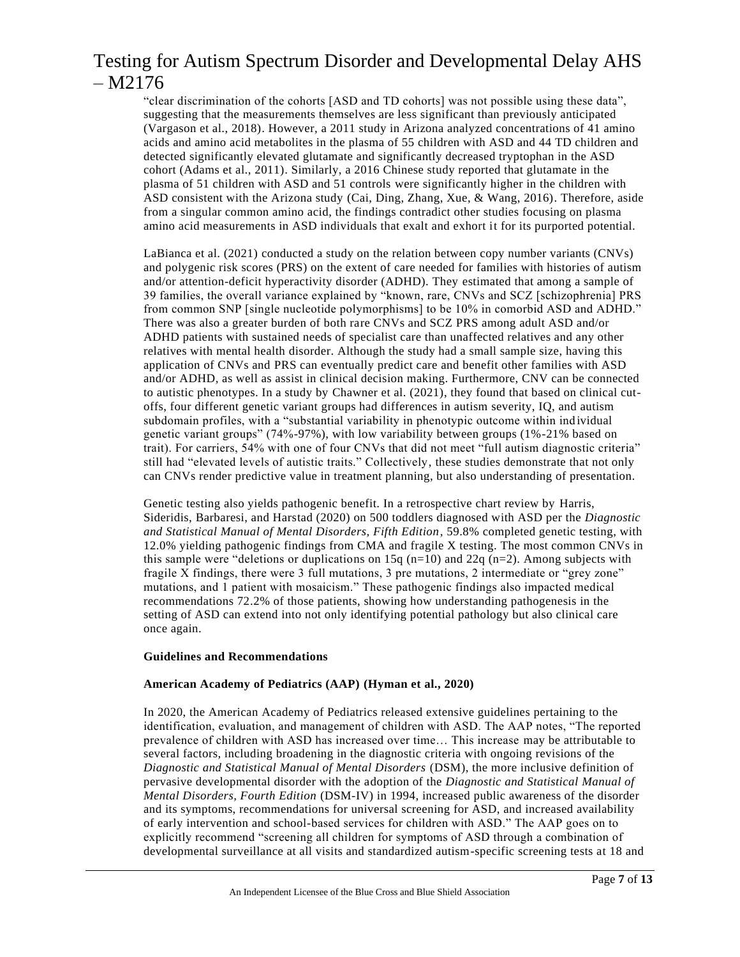"clear discrimination of the cohorts [ASD and TD cohorts] was not possible using these data", suggesting that the measurements themselves are less significant than previously anticipated (Vargason et al., 2018). However, a 2011 study in Arizona analyzed concentrations of 41 amino acids and amino acid metabolites in the plasma of 55 children with ASD and 44 TD children and detected significantly elevated glutamate and significantly decreased tryptophan in the ASD cohort (Adams et al., 2011). Similarly, a 2016 Chinese study reported that glutamate in the plasma of 51 children with ASD and 51 controls were significantly higher in the children with ASD consistent with the Arizona study (Cai, Ding, Zhang, Xue, & Wang, 2016). Therefore, aside from a singular common amino acid, the findings contradict other studies focusing on plasma amino acid measurements in ASD individuals that exalt and exhort it for its purported potential.

LaBianca et al. (2021) conducted a study on the relation between copy number variants (CNVs) and polygenic risk scores (PRS) on the extent of care needed for families with histories of autism and/or attention-deficit hyperactivity disorder (ADHD). They estimated that among a sample of 39 families, the overall variance explained by "known, rare, CNVs and SCZ [schizophrenia] PRS from common SNP [single nucleotide polymorphisms] to be 10% in comorbid ASD and ADHD." There was also a greater burden of both rare CNVs and SCZ PRS among adult ASD and/or ADHD patients with sustained needs of specialist care than unaffected relatives and any other relatives with mental health disorder. Although the study had a small sample size, having this application of CNVs and PRS can eventually predict care and benefit other families with ASD and/or ADHD, as well as assist in clinical decision making. Furthermore, CNV can be connected to autistic phenotypes. In a study by Chawner et al. (2021), they found that based on clinical cutoffs, four different genetic variant groups had differences in autism severity, IQ, and autism subdomain profiles, with a "substantial variability in phenotypic outcome within ind ividual genetic variant groups" (74%-97%), with low variability between groups (1%-21% based on trait). For carriers, 54% with one of four CNVs that did not meet "full autism diagnostic criteria" still had "elevated levels of autistic traits." Collectively, these studies demonstrate that not only can CNVs render predictive value in treatment planning, but also understanding of presentation.

Genetic testing also yields pathogenic benefit. In a retrospective chart review by Harris, Sideridis, Barbaresi, and Harstad (2020) on 500 toddlers diagnosed with ASD per the *Diagnostic and Statistical Manual of Mental Disorders, Fifth Edition*, 59.8% completed genetic testing, with 12.0% yielding pathogenic findings from CMA and fragile X testing. The most common CNVs in this sample were "deletions or duplications on 15q ( $n=10$ ) and 22q ( $n=2$ ). Among subjects with fragile X findings, there were 3 full mutations, 3 pre mutations, 2 intermediate or "grey zone" mutations, and 1 patient with mosaicism." These pathogenic findings also impacted medical recommendations 72.2% of those patients, showing how understanding pathogenesis in the setting of ASD can extend into not only identifying potential pathology but also clinical care once again.

#### **Guidelines and Recommendations**

### **American Academy of Pediatrics (AAP) (Hyman et al., 2020)**

In 2020, the American Academy of Pediatrics released extensive guidelines pertaining to the identification, evaluation, and management of children with ASD. The AAP notes, "The reported prevalence of children with ASD has increased over time… This increase may be attributable to several factors, including broadening in the diagnostic criteria with ongoing revisions of the *Diagnostic and Statistical Manual of Mental Disorders* (DSM), the more inclusive definition of pervasive developmental disorder with the adoption of the *Diagnostic and Statistical Manual of Mental Disorders, Fourth Edition* (DSM-IV) in 1994, increased public awareness of the disorder and its symptoms, recommendations for universal screening for ASD, and increased availability of early intervention and school-based services for children with ASD." The AAP goes on to explicitly recommend "screening all children for symptoms of ASD through a combination of developmental surveillance at all visits and standardized autism-specific screening tests at 18 and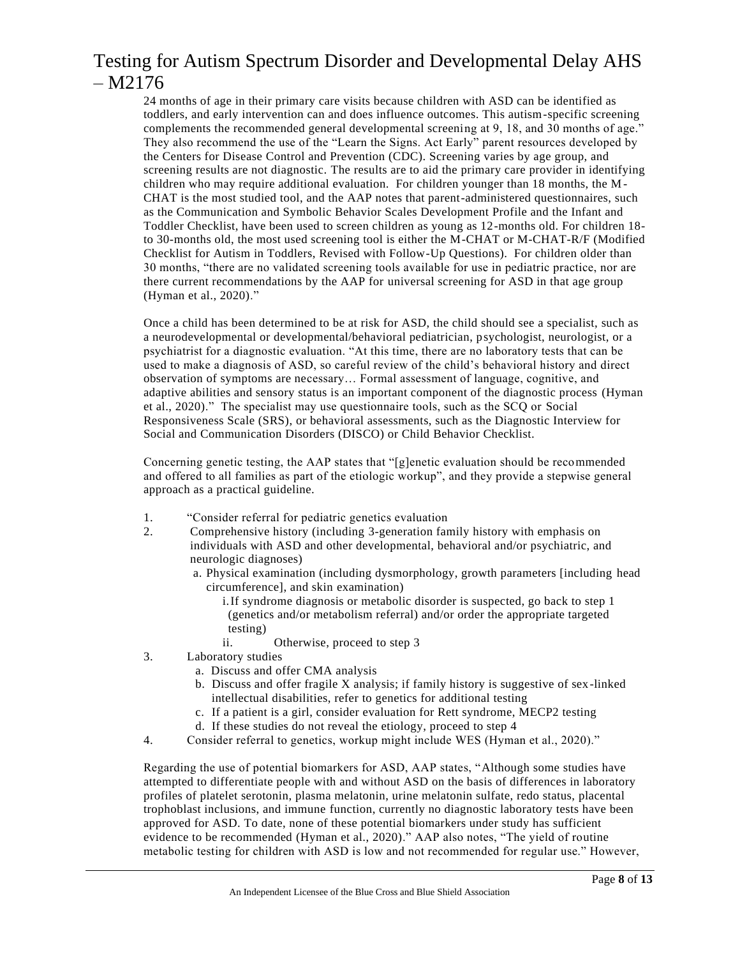24 months of age in their primary care visits because children with ASD can be identified as toddlers, and early intervention can and does influence outcomes. This autism-specific screening complements the recommended general developmental screening at 9, 18, and 30 months of age." They also recommend the use of the "Learn the Signs. Act Early" parent resources developed by the Centers for Disease Control and Prevention (CDC). Screening varies by age group, and screening results are not diagnostic. The results are to aid the primary care provider in identifying children who may require additional evaluation. For children younger than 18 months, the M-CHAT is the most studied tool, and the AAP notes that parent-administered questionnaires, such as the Communication and Symbolic Behavior Scales Development Profile and the Infant and Toddler Checklist, have been used to screen children as young as 12-months old. For children 18 to 30-months old, the most used screening tool is either the M-CHAT or M-CHAT-R/F (Modified Checklist for Autism in Toddlers, Revised with Follow-Up Questions). For children older than 30 months, "there are no validated screening tools available for use in pediatric practice, nor are there current recommendations by the AAP for universal screening for ASD in that age group (Hyman et al., 2020)."

Once a child has been determined to be at risk for ASD, the child should see a specialist, such as a neurodevelopmental or developmental/behavioral pediatrician, psychologist, neurologist, or a psychiatrist for a diagnostic evaluation. "At this time, there are no laboratory tests that can be used to make a diagnosis of ASD, so careful review of the child's behavioral history and direct observation of symptoms are necessary… Formal assessment of language, cognitive, and adaptive abilities and sensory status is an important component of the diagnostic process (Hyman et al., 2020)." The specialist may use questionnaire tools, such as the SCQ or Social Responsiveness Scale (SRS), or behavioral assessments, such as the Diagnostic Interview for Social and Communication Disorders (DISCO) or Child Behavior Checklist.

Concerning genetic testing, the AAP states that "[g]enetic evaluation should be recommended and offered to all families as part of the etiologic workup", and they provide a stepwise general approach as a practical guideline.

- 1. "Consider referral for pediatric genetics evaluation
- 2. Comprehensive history (including 3-generation family history with emphasis on individuals with ASD and other developmental, behavioral and/or psychiatric, and neurologic diagnoses)
	- a. Physical examination (including dysmorphology, growth parameters [including head circumference], and skin examination)
		- i.If syndrome diagnosis or metabolic disorder is suspected, go back to step 1 (genetics and/or metabolism referral) and/or order the appropriate targeted testing)
		- ii. Otherwise, proceed to step 3
- 3. Laboratory studies
	- a. Discuss and offer CMA analysis
	- b. Discuss and offer fragile X analysis; if family history is suggestive of sex-linked intellectual disabilities, refer to genetics for additional testing
	- c. If a patient is a girl, consider evaluation for Rett syndrome, MECP2 testing
	- d. If these studies do not reveal the etiology, proceed to step 4
- 4. Consider referral to genetics, workup might include WES (Hyman et al., 2020)."

Regarding the use of potential biomarkers for ASD, AAP states, "Although some studies have attempted to differentiate people with and without ASD on the basis of differences in laboratory profiles of platelet serotonin, plasma melatonin, urine melatonin sulfate, redo status, placental trophoblast inclusions, and immune function, currently no diagnostic laboratory tests have been approved for ASD. To date, none of these potential biomarkers under study has sufficient evidence to be recommended (Hyman et al., 2020)." AAP also notes, "The yield of routine metabolic testing for children with ASD is low and not recommended for regular use." However,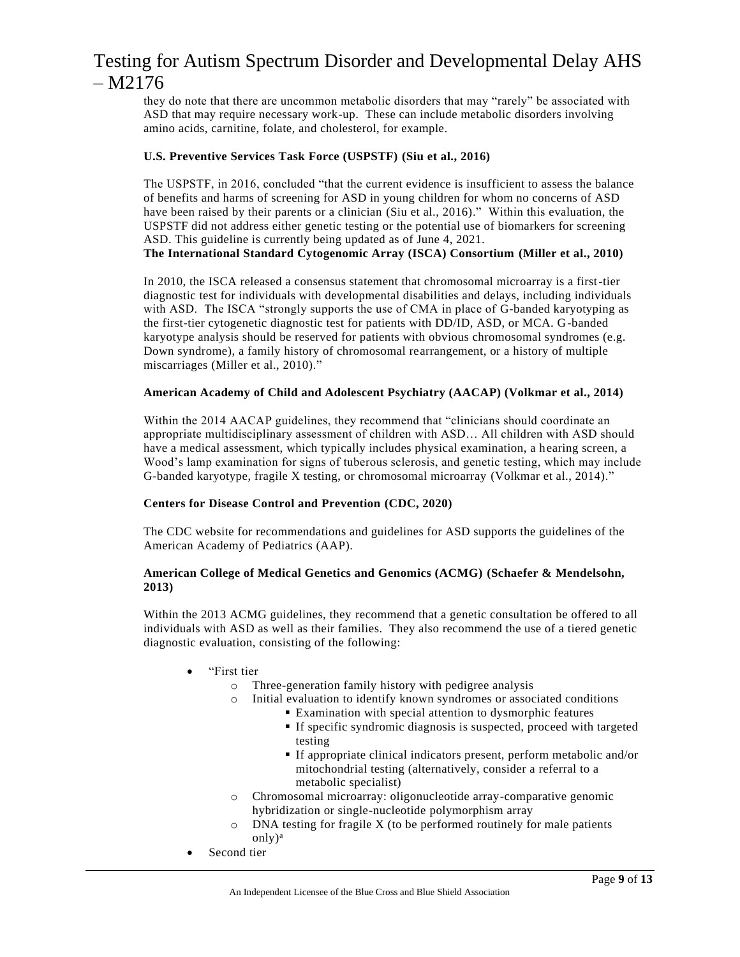they do note that there are uncommon metabolic disorders that may "rarely" be associated with ASD that may require necessary work-up. These can include metabolic disorders involving amino acids, carnitine, folate, and cholesterol, for example.

### **U.S. Preventive Services Task Force (USPSTF) (Siu et al., 2016)**

The USPSTF, in 2016, concluded "that the current evidence is insufficient to assess the balance of benefits and harms of screening for ASD in young children for whom no concerns of ASD have been raised by their parents or a clinician (Siu et al., 2016)." Within this evaluation, the USPSTF did not address either genetic testing or the potential use of biomarkers for screening ASD. This guideline is currently being updated as of June 4, 2021.

**The International Standard Cytogenomic Array (ISCA) Consortium (Miller et al., 2010)**

In 2010, the ISCA released a consensus statement that chromosomal microarray is a first-tier diagnostic test for individuals with developmental disabilities and delays, including individuals with ASD. The ISCA "strongly supports the use of CMA in place of G-banded karyotyping as the first-tier cytogenetic diagnostic test for patients with DD/ID, ASD, or MCA. G-banded karyotype analysis should be reserved for patients with obvious chromosomal syndromes (e.g. Down syndrome), a family history of chromosomal rearrangement, or a history of multiple miscarriages (Miller et al., 2010)."

### **American Academy of Child and Adolescent Psychiatry (AACAP) (Volkmar et al., 2014)**

Within the 2014 AACAP guidelines, they recommend that "clinicians should coordinate an appropriate multidisciplinary assessment of children with ASD… All children with ASD should have a medical assessment, which typically includes physical examination, a hearing screen, a Wood's lamp examination for signs of tuberous sclerosis, and genetic testing, which may include G-banded karyotype, fragile X testing, or chromosomal microarray (Volkmar et al., 2014)."

### **Centers for Disease Control and Prevention (CDC, 2020)**

The CDC website for recommendations and guidelines for ASD supports the guidelines of the American Academy of Pediatrics (AAP).

#### **American College of Medical Genetics and Genomics (ACMG) (Schaefer & Mendelsohn, 2013)**

Within the 2013 ACMG guidelines, they recommend that a genetic consultation be offered to all individuals with ASD as well as their families. They also recommend the use of a tiered genetic diagnostic evaluation, consisting of the following:

- "First tier
	- o Three-generation family history with pedigree analysis
	- o Initial evaluation to identify known syndromes or associated conditions
		- Examination with special attention to dysmorphic features
		- If specific syndromic diagnosis is suspected, proceed with targeted testing
		- If appropriate clinical indicators present, perform metabolic and/or mitochondrial testing (alternatively, consider a referral to a metabolic specialist)
	- o Chromosomal microarray: oligonucleotide array-comparative genomic hybridization or single-nucleotide polymorphism array
	- o DNA testing for fragile X (to be performed routinely for male patients only)<sup>a</sup>
	- Second tier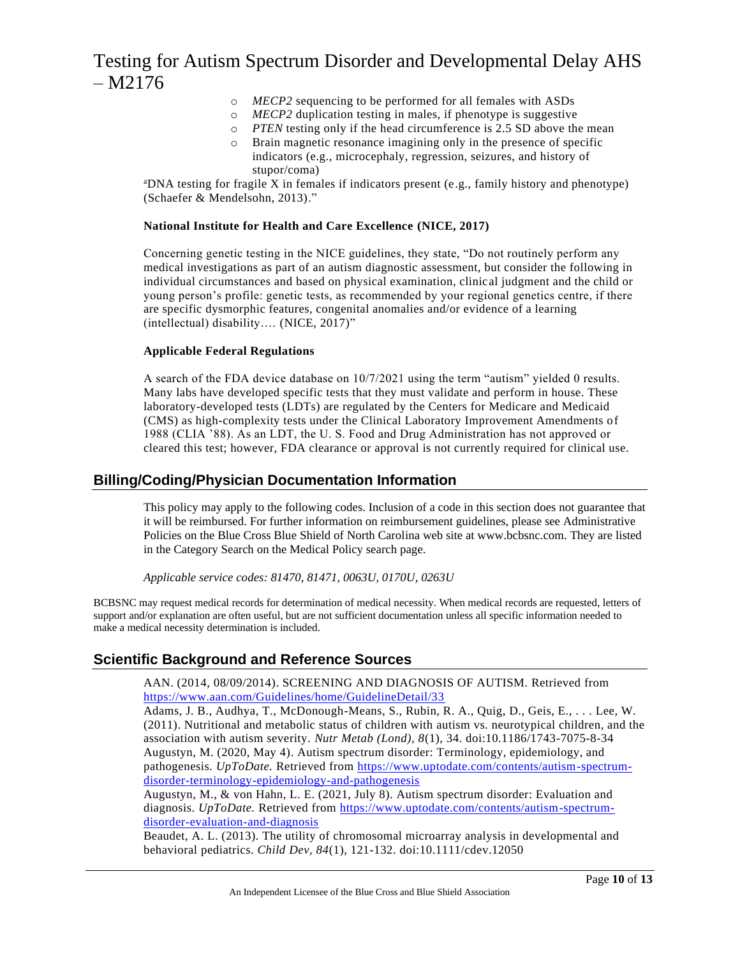- o *MECP2* sequencing to be performed for all females with ASDs
- o *MECP2* duplication testing in males, if phenotype is suggestive
- o *PTEN* testing only if the head circumference is 2.5 SD above the mean
- o Brain magnetic resonance imagining only in the presence of specific indicators (e.g., microcephaly, regression, seizures, and history of stupor/coma)

 $a<sup>a</sup>DNA testing for fragile X in females if indicators present (e.g., family history and phenotype)$ (Schaefer & Mendelsohn, 2013)."

### **National Institute for Health and Care Excellence (NICE, 2017)**

Concerning genetic testing in the NICE guidelines, they state, "Do not routinely perform any medical investigations as part of an autism diagnostic assessment, but consider the following in individual circumstances and based on physical examination, clinical judgment and the child or young person's profile: genetic tests, as recommended by your regional genetics centre, if there are specific dysmorphic features, congenital anomalies and/or evidence of a learning (intellectual) disability…. (NICE, 2017)"

### **Applicable Federal Regulations**

A search of the FDA device database on 10/7/2021 using the term "autism" yielded 0 results. Many labs have developed specific tests that they must validate and perform in house. These laboratory-developed tests (LDTs) are regulated by the Centers for Medicare and Medicaid (CMS) as high-complexity tests under the Clinical Laboratory Improvement Amendments of 1988 (CLIA '88). As an LDT, the U. S. Food and Drug Administration has not approved or cleared this test; however, FDA clearance or approval is not currently required for clinical use.

### **Billing/Coding/Physician Documentation Information**

This policy may apply to the following codes. Inclusion of a code in this section does not guarantee that it will be reimbursed. For further information on reimbursement guidelines, please see Administrative Policies on the Blue Cross Blue Shield of North Carolina web site at www.bcbsnc.com. They are listed in the Category Search on the Medical Policy search page.

*Applicable service codes: 81470, 81471, 0063U, 0170U, 0263U*

BCBSNC may request medical records for determination of medical necessity. When medical records are requested, letters of support and/or explanation are often useful, but are not sufficient documentation unless all specific information needed to make a medical necessity determination is included.

### **Scientific Background and Reference Sources**

AAN. (2014, 08/09/2014). SCREENING AND DIAGNOSIS OF AUTISM. Retrieved from <https://www.aan.com/Guidelines/home/GuidelineDetail/33>

Adams, J. B., Audhya, T., McDonough-Means, S., Rubin, R. A., Quig, D., Geis, E., . . . Lee, W. (2011). Nutritional and metabolic status of children with autism vs. neurotypical children, and the association with autism severity. *Nutr Metab (Lond), 8*(1), 34. doi:10.1186/1743-7075-8-34 Augustyn, M. (2020, May 4). Autism spectrum disorder: Terminology, epidemiology, and pathogenesis. *UpToDate*. Retrieved from [https://www.uptodate.com/contents/autism-spectrum](https://www.uptodate.com/contents/autism-spectrum-disorder-terminology-epidemiology-and-pathogenesis)[disorder-terminology-epidemiology-and-pathogenesis](https://www.uptodate.com/contents/autism-spectrum-disorder-terminology-epidemiology-and-pathogenesis)

Augustyn, M., & von Hahn, L. E. (2021, July 8). Autism spectrum disorder: Evaluation and diagnosis. *UpToDate.* Retrieved from [https://www.uptodate.com/contents/autism-spectrum](https://www.uptodate.com/contents/autism-spectrum-disorder-evaluation-and-diagnosis)[disorder-evaluation-and-diagnosis](https://www.uptodate.com/contents/autism-spectrum-disorder-evaluation-and-diagnosis)

Beaudet, A. L. (2013). The utility of chromosomal microarray analysis in developmental and behavioral pediatrics. *Child Dev, 84*(1), 121-132. doi:10.1111/cdev.12050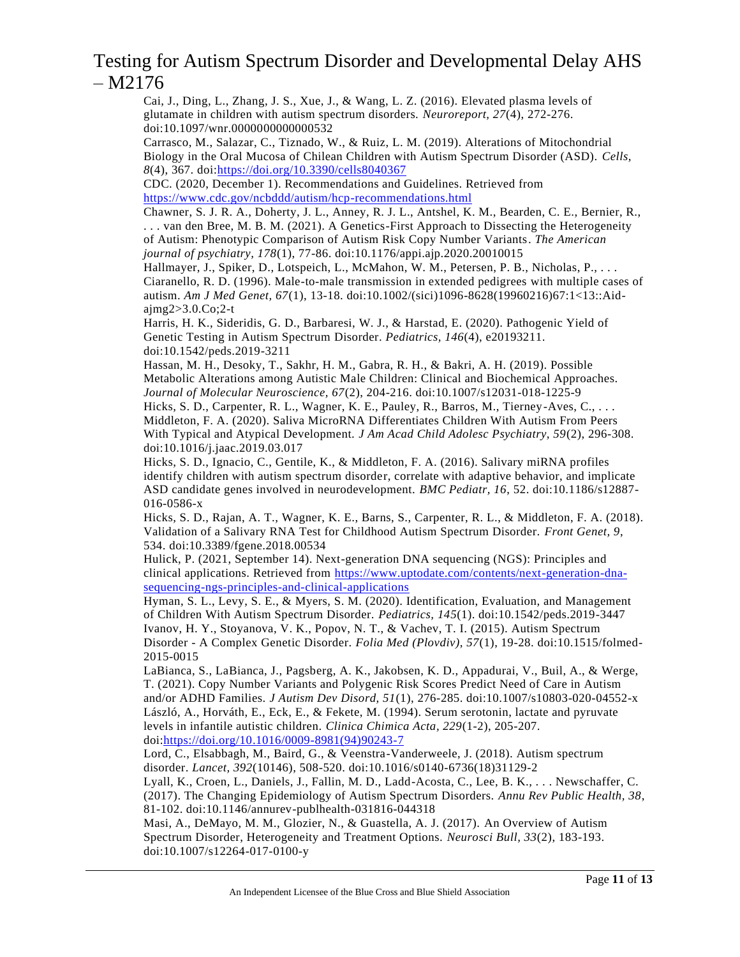Cai, J., Ding, L., Zhang, J. S., Xue, J., & Wang, L. Z. (2016). Elevated plasma levels of glutamate in children with autism spectrum disorders. *Neuroreport, 27*(4), 272-276. doi:10.1097/wnr.0000000000000532

Carrasco, M., Salazar, C., Tiznado, W., & Ruiz, L. M. (2019). Alterations of Mitochondrial Biology in the Oral Mucosa of Chilean Children with Autism Spectrum Disorder (ASD). *Cells, 8*(4), 367. doi[:https://doi.org/10.3390/cells8040367](https://doi.org/10.3390/cells8040367)

CDC. (2020, December 1). Recommendations and Guidelines. Retrieved from <https://www.cdc.gov/ncbddd/autism/hcp-recommendations.html>

Chawner, S. J. R. A., Doherty, J. L., Anney, R. J. L., Antshel, K. M., Bearden, C. E., Bernier, R., . . . van den Bree, M. B. M. (2021). A Genetics-First Approach to Dissecting the Heterogeneity of Autism: Phenotypic Comparison of Autism Risk Copy Number Variants. *The American journal of psychiatry, 178*(1), 77-86. doi:10.1176/appi.ajp.2020.20010015

Hallmayer, J., Spiker, D., Lotspeich, L., McMahon, W. M., Petersen, P. B., Nicholas, P., . . . Ciaranello, R. D. (1996). Male-to-male transmission in extended pedigrees with multiple cases of autism. *Am J Med Genet, 67*(1), 13-18. doi:10.1002/(sici)1096-8628(19960216)67:1<13::Aidajmg2>3.0.Co;2-t

Harris, H. K., Sideridis, G. D., Barbaresi, W. J., & Harstad, E. (2020). Pathogenic Yield of Genetic Testing in Autism Spectrum Disorder. *Pediatrics, 146*(4), e20193211. doi:10.1542/peds.2019-3211

Hassan, M. H., Desoky, T., Sakhr, H. M., Gabra, R. H., & Bakri, A. H. (2019). Possible Metabolic Alterations among Autistic Male Children: Clinical and Biochemical Approaches. *Journal of Molecular Neuroscience, 67*(2), 204-216. doi:10.1007/s12031-018-1225-9 Hicks, S. D., Carpenter, R. L., Wagner, K. E., Pauley, R., Barros, M., Tierney-Aves, C., . . .

Middleton, F. A. (2020). Saliva MicroRNA Differentiates Children With Autism From Peers With Typical and Atypical Development. *J Am Acad Child Adolesc Psychiatry, 59*(2), 296-308. doi:10.1016/j.jaac.2019.03.017

Hicks, S. D., Ignacio, C., Gentile, K., & Middleton, F. A. (2016). Salivary miRNA profiles identify children with autism spectrum disorder, correlate with adaptive behavior, and implicate ASD candidate genes involved in neurodevelopment. *BMC Pediatr, 16*, 52. doi:10.1186/s12887- 016-0586-x

Hicks, S. D., Rajan, A. T., Wagner, K. E., Barns, S., Carpenter, R. L., & Middleton, F. A. (2018). Validation of a Salivary RNA Test for Childhood Autism Spectrum Disorder. *Front Genet, 9*, 534. doi:10.3389/fgene.2018.00534

Hulick, P. (2021, September 14). Next-generation DNA sequencing (NGS): Principles and clinical applications. Retrieved from [https://www.uptodate.com/contents/next-generation-dna](https://www.uptodate.com/contents/next-generation-dna-sequencing-ngs-principles-and-clinical-applications)[sequencing-ngs-principles-and-clinical-applications](https://www.uptodate.com/contents/next-generation-dna-sequencing-ngs-principles-and-clinical-applications)

Hyman, S. L., Levy, S. E., & Myers, S. M. (2020). Identification, Evaluation, and Management of Children With Autism Spectrum Disorder. *Pediatrics, 145*(1). doi:10.1542/peds.2019-3447 Ivanov, H. Y., Stoyanova, V. K., Popov, N. T., & Vachev, T. I. (2015). Autism Spectrum Disorder - A Complex Genetic Disorder. *Folia Med (Plovdiv), 57*(1), 19-28. doi:10.1515/folmed-2015-0015

LaBianca, S., LaBianca, J., Pagsberg, A. K., Jakobsen, K. D., Appadurai, V., Buil, A., & Werge, T. (2021). Copy Number Variants and Polygenic Risk Scores Predict Need of Care in Autism and/or ADHD Families. *J Autism Dev Disord, 51*(1), 276-285. doi:10.1007/s10803-020-04552-x László, A., Horváth, E., Eck, E., & Fekete, M. (1994). Serum serotonin, lactate and pyruvate levels in infantile autistic children. *Clinica Chimica Acta, 229*(1-2), 205-207. doi[:https://doi.org/10.1016/0009-8981\(94\)90243-7](https://doi.org/10.1016/0009-8981(94)90243-7)

Lord, C., Elsabbagh, M., Baird, G., & Veenstra-Vanderweele, J. (2018). Autism spectrum disorder. *Lancet, 392*(10146), 508-520. doi:10.1016/s0140-6736(18)31129-2

Lyall, K., Croen, L., Daniels, J., Fallin, M. D., Ladd-Acosta, C., Lee, B. K., . . . Newschaffer, C. (2017). The Changing Epidemiology of Autism Spectrum Disorders. *Annu Rev Public Health, 38*, 81-102. doi:10.1146/annurev-publhealth-031816-044318

Masi, A., DeMayo, M. M., Glozier, N., & Guastella, A. J. (2017). An Overview of Autism Spectrum Disorder, Heterogeneity and Treatment Options. *Neurosci Bull, 33*(2), 183-193. doi:10.1007/s12264-017-0100-y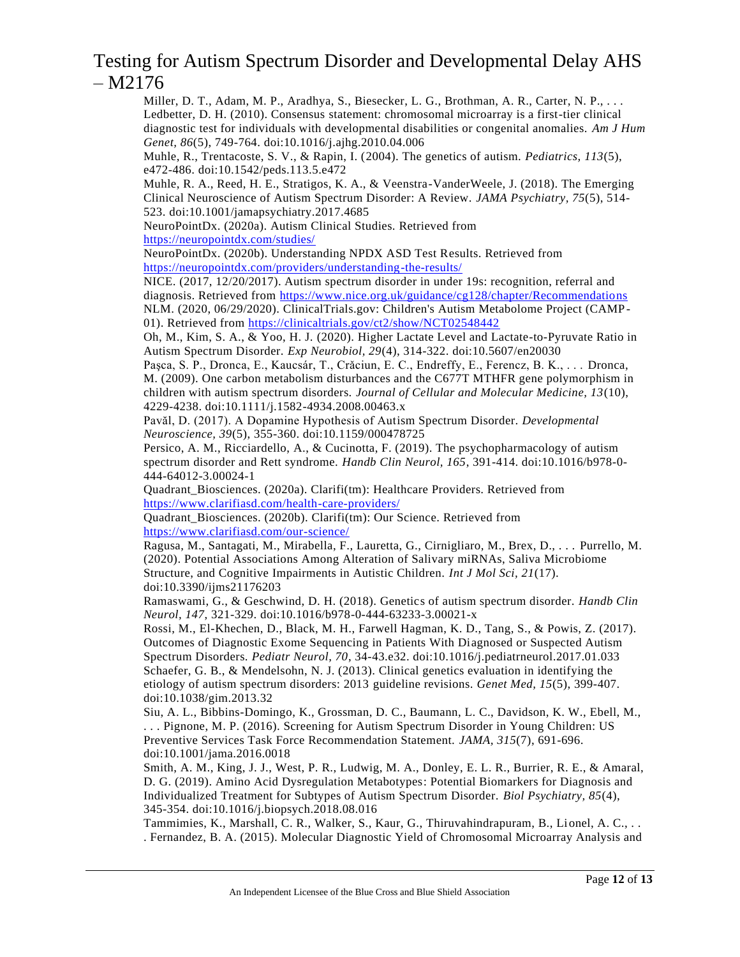Miller, D. T., Adam, M. P., Aradhya, S., Biesecker, L. G., Brothman, A. R., Carter, N. P., ... Ledbetter, D. H. (2010). Consensus statement: chromosomal microarray is a first-tier clinical diagnostic test for individuals with developmental disabilities or congenital anomalies. *Am J Hum Genet, 86*(5), 749-764. doi:10.1016/j.ajhg.2010.04.006

Muhle, R., Trentacoste, S. V., & Rapin, I. (2004). The genetics of autism. *Pediatrics, 113*(5), e472-486. doi:10.1542/peds.113.5.e472

Muhle, R. A., Reed, H. E., Stratigos, K. A., & Veenstra-VanderWeele, J. (2018). The Emerging Clinical Neuroscience of Autism Spectrum Disorder: A Review. *JAMA Psychiatry, 75*(5), 514- 523. doi:10.1001/jamapsychiatry.2017.4685

NeuroPointDx. (2020a). Autism Clinical Studies. Retrieved from

<https://neuropointdx.com/studies/>

NeuroPointDx. (2020b). Understanding NPDX ASD Test Results. Retrieved from <https://neuropointdx.com/providers/understanding-the-results/>

NICE. (2017, 12/20/2017). Autism spectrum disorder in under 19s: recognition, referral and diagnosis. Retrieved from<https://www.nice.org.uk/guidance/cg128/chapter/Recommendations> NLM. (2020, 06/29/2020). ClinicalTrials.gov: Children's Autism Metabolome Project (CAMP01). Retrieved from<https://clinicaltrials.gov/ct2/show/NCT02548442>

Oh, M., Kim, S. A., & Yoo, H. J. (2020). Higher Lactate Level and Lactate-to-Pyruvate Ratio in Autism Spectrum Disorder. *Exp Neurobiol, 29*(4), 314-322. doi:10.5607/en20030

Paşca, S. P., Dronca, E., Kaucsár, T., Crǎciun, E. C., Endreffy, E., Ferencz, B. K., . . . Dronca, M. (2009). One carbon metabolism disturbances and the C677T MTHFR gene polymorphism in children with autism spectrum disorders. *Journal of Cellular and Molecular Medicine, 13*(10), 4229-4238. doi:10.1111/j.1582-4934.2008.00463.x

Pavăl, D. (2017). A Dopamine Hypothesis of Autism Spectrum Disorder. *Developmental Neuroscience, 39*(5), 355-360. doi:10.1159/000478725

Persico, A. M., Ricciardello, A., & Cucinotta, F. (2019). The psychopharmacology of autism spectrum disorder and Rett syndrome. *Handb Clin Neurol, 165*, 391-414. doi:10.1016/b978-0- 444-64012-3.00024-1

Quadrant\_Biosciences. (2020a). Clarifi(tm): Healthcare Providers. Retrieved from <https://www.clarifiasd.com/health-care-providers/>

Quadrant\_Biosciences. (2020b). Clarifi(tm): Our Science. Retrieved from <https://www.clarifiasd.com/our-science/>

Ragusa, M., Santagati, M., Mirabella, F., Lauretta, G., Cirnigliaro, M., Brex, D., . . . Purrello, M. (2020). Potential Associations Among Alteration of Salivary miRNAs, Saliva Microbiome Structure, and Cognitive Impairments in Autistic Children. *Int J Mol Sci, 21*(17). doi:10.3390/ijms21176203

Ramaswami, G., & Geschwind, D. H. (2018). Genetics of autism spectrum disorder. *Handb Clin Neurol, 147*, 321-329. doi:10.1016/b978-0-444-63233-3.00021-x

Rossi, M., El-Khechen, D., Black, M. H., Farwell Hagman, K. D., Tang, S., & Powis, Z. (2017). Outcomes of Diagnostic Exome Sequencing in Patients With Diagnosed or Suspected Autism Spectrum Disorders. *Pediatr Neurol, 70*, 34-43.e32. doi:10.1016/j.pediatrneurol.2017.01.033 Schaefer, G. B., & Mendelsohn, N. J. (2013). Clinical genetics evaluation in identifying the etiology of autism spectrum disorders: 2013 guideline revisions. *Genet Med, 15*(5), 399-407. doi:10.1038/gim.2013.32

Siu, A. L., Bibbins-Domingo, K., Grossman, D. C., Baumann, L. C., Davidson, K. W., Ebell, M., . . . Pignone, M. P. (2016). Screening for Autism Spectrum Disorder in Young Children: US Preventive Services Task Force Recommendation Statement. *JAMA, 315*(7), 691-696. doi:10.1001/jama.2016.0018

Smith, A. M., King, J. J., West, P. R., Ludwig, M. A., Donley, E. L. R., Burrier, R. E., & Amaral, D. G. (2019). Amino Acid Dysregulation Metabotypes: Potential Biomarkers for Diagnosis and Individualized Treatment for Subtypes of Autism Spectrum Disorder. *Biol Psychiatry, 85*(4), 345-354. doi:10.1016/j.biopsych.2018.08.016

Tammimies, K., Marshall, C. R., Walker, S., Kaur, G., Thiruvahindrapuram, B., Lionel, A. C., . . . Fernandez, B. A. (2015). Molecular Diagnostic Yield of Chromosomal Microarray Analysis and